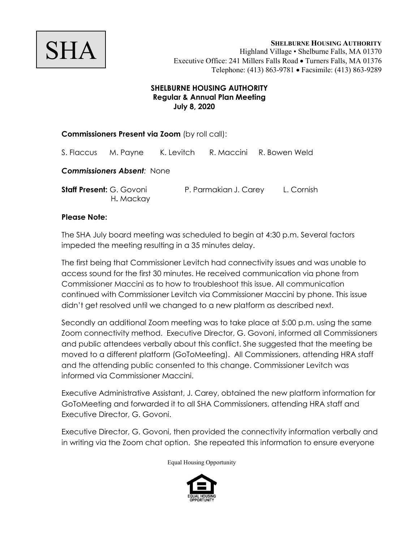

#### **SHELBURNE HOUSING AUTHORITY Regular & Annual Plan Meeting July 8, 2020**

| <b>Commissioners Present via Zoom</b> (by roll call): |                                              |                                  |  |                                                         |  |
|-------------------------------------------------------|----------------------------------------------|----------------------------------|--|---------------------------------------------------------|--|
|                                                       |                                              |                                  |  | S. Flaccus M. Payne K. Levitch R. Maccini R. Bowen Weld |  |
| <b>Commissioners Absent: None</b>                     |                                              |                                  |  |                                                         |  |
|                                                       | <b>Staff Present: G. Govoni</b><br>H. Mackay | P. Parmakian J. Carey L. Cornish |  |                                                         |  |
| <b>BL. AL. I</b>                                      |                                              |                                  |  |                                                         |  |

#### **Please Note:**

The SHA July board meeting was scheduled to begin at 4:30 p.m. Several factors impeded the meeting resulting in a 35 minutes delay.

The first being that Commissioner Levitch had connectivity issues and was unable to access sound for the first 30 minutes. He received communication via phone from Commissioner Maccini as to how to troubleshoot this issue. All communication continued with Commissioner Levitch via Commissioner Maccini by phone. This issue didn't get resolved until we changed to a new platform as described next.

Secondly an additional Zoom meeting was to take place at 5:00 p.m. using the same Zoom connectivity method. Executive Director, G. Govoni, informed all Commissioners and public attendees verbally about this conflict. She suggested that the meeting be moved to a different platform (GoToMeeting). All Commissioners, attending HRA staff and the attending public consented to this change. Commissioner Levitch was informed via Commissioner Maccini.

Executive Administrative Assistant, J. Carey, obtained the new platform information for GoToMeeting and forwarded it to all SHA Commissioners, attending HRA staff and Executive Director, G. Govoni.

Executive Director, G. Govoni, then provided the connectivity information verbally and in writing via the Zoom chat option. She repeated this information to ensure everyone

Equal Housing Opportunity

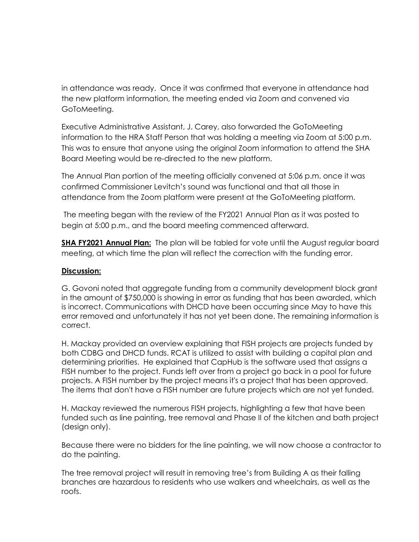in attendance was ready. Once it was confirmed that everyone in attendance had the new platform information, the meeting ended via Zoom and convened via GoToMeeting.

Executive Administrative Assistant, J. Carey, also forwarded the GoToMeeting information to the HRA Staff Person that was holding a meeting via Zoom at 5:00 p.m. This was to ensure that anyone using the original Zoom information to attend the SHA Board Meeting would be re-directed to the new platform.

The Annual Plan portion of the meeting officially convened at 5:06 p.m. once it was confirmed Commissioner Levitch's sound was functional and that all those in attendance from the Zoom platform were present at the GoToMeeting platform.

The meeting began with the review of the FY2021 Annual Plan as it was posted to begin at 5:00 p.m., and the board meeting commenced afterward.

**SHA FY2021 Annual Plan:** The plan will be tabled for vote until the August regular board meeting, at which time the plan will reflect the correction with the funding error.

### **Discussion:**

G. Govoni noted that aggregate funding from a community development block grant in the amount of \$750,000 is showing in error as funding that has been awarded, which is incorrect. Communications with DHCD have been occurring since May to have this error removed and unfortunately it has not yet been done. The remaining information is correct.

H. Mackay provided an overview explaining that FISH projects are projects funded by both CDBG and DHCD funds. RCAT is utilized to assist with building a capital plan and determining priorities. He explained that CapHub is the software used that assigns a FISH number to the project. Funds left over from a project go back in a pool for future projects. A FISH number by the project means it's a project that has been approved. The items that don't have a FISH number are future projects which are not yet funded.

H. Mackay reviewed the numerous FISH projects, highlighting a few that have been funded such as line painting, tree removal and Phase II of the kitchen and bath project (design only).

Because there were no bidders for the line painting, we will now choose a contractor to do the painting.

The tree removal project will result in removing tree's from Building A as their falling branches are hazardous to residents who use walkers and wheelchairs, as well as the roofs.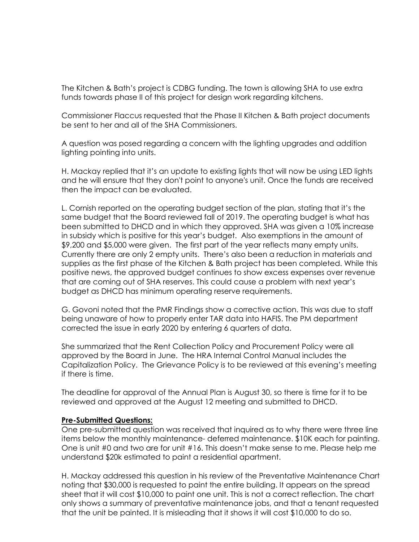The Kitchen & Bath's project is CDBG funding. The town is allowing SHA to use extra funds towards phase II of this project for design work regarding kitchens.

Commissioner Flaccus requested that the Phase II Kitchen & Bath project documents be sent to her and all of the SHA Commissioners.

A question was posed regarding a concern with the lighting upgrades and addition lighting pointing into units.

H. Mackay replied that it's an update to existing lights that will now be using LED lights and he will ensure that they don't point to anyone's unit. Once the funds are received then the impact can be evaluated.

L. Cornish reported on the operating budget section of the plan, stating that it's the same budget that the Board reviewed fall of 2019. The operating budget is what has been submitted to DHCD and in which they approved. SHA was given a 10% increase in subsidy which is positive for this year's budget. Also exemptions in the amount of \$9,200 and \$5,000 were given. The first part of the year reflects many empty units. Currently there are only 2 empty units. There's also been a reduction in materials and supplies as the first phase of the Kitchen & Bath project has been completed. While this positive news, the approved budget continues to show excess expenses over revenue that are coming out of SHA reserves. This could cause a problem with next year's budget as DHCD has minimum operating reserve requirements.

G. Govoni noted that the PMR Findings show a corrective action. This was due to staff being unaware of how to properly enter TAR data into HAFIS. The PM department corrected the issue in early 2020 by entering 6 quarters of data.

She summarized that the Rent Collection Policy and Procurement Policy were all approved by the Board in June. The HRA Internal Control Manual includes the Capitalization Policy. The Grievance Policy is to be reviewed at this evening's meeting if there is time.

The deadline for approval of the Annual Plan is August 30, so there is time for it to be reviewed and approved at the August 12 meeting and submitted to DHCD.

#### **Pre-Submitted Questions:**

One pre-submitted question was received that inquired as to why there were three line items below the monthly maintenance- deferred maintenance. \$10K each for painting. One is unit #0 and two are for unit #16. This doesn't make sense to me. Please help me understand \$20k estimated to paint a residential apartment.

H. Mackay addressed this question in his review of the Preventative Maintenance Chart noting that \$30,000 is requested to paint the entire building. It appears on the spread sheet that it will cost \$10,000 to paint one unit. This is not a correct reflection. The chart only shows a summary of preventative maintenance jobs, and that a tenant requested that the unit be painted. It is misleading that it shows it will cost \$10,000 to do so.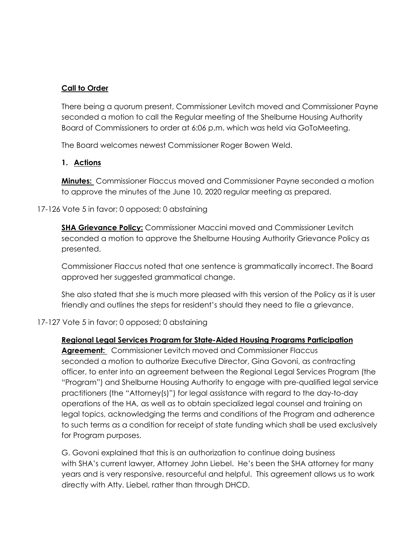### **Call to Order**

There being a quorum present, Commissioner Levitch moved and Commissioner Payne seconded a motion to call the Regular meeting of the Shelburne Housing Authority Board of Commissioners to order at 6:06 p.m. which was held via GoToMeeting.

The Board welcomes newest Commissioner Roger Bowen Weld.

### **1. Actions**

**Minutes:** Commissioner Flaccus moved and Commissioner Payne seconded a motion to approve the minutes of the June 10, 2020 regular meeting as prepared.

### 17-126 Vote 5 in favor; 0 opposed; 0 abstaining

**SHA Grievance Policy:** Commissioner Maccini moved and Commissioner Levitch seconded a motion to approve the Shelburne Housing Authority Grievance Policy as presented.

Commissioner Flaccus noted that one sentence is grammatically incorrect. The Board approved her suggested grammatical change.

She also stated that she is much more pleased with this version of the Policy as it is user friendly and outlines the steps for resident's should they need to file a grievance.

### 17-127 Vote 5 in favor; 0 opposed; 0 abstaining

**Regional Legal Services Program for State-Aided Housing Programs Participation Agreement:** Commissioner Levitch moved and Commissioner Flaccus seconded a motion to authorize Executive Director, Gina Govoni, as contracting officer, to enter into an agreement between the Regional Legal Services Program (the "Program") and Shelburne Housing Authority to engage with pre-qualified legal service practitioners (the "Attorney(s)") for legal assistance with regard to the day-to-day operations of the HA, as well as to obtain specialized legal counsel and training on legal topics, acknowledging the terms and conditions of the Program and adherence to such terms as a condition for receipt of state funding which shall be used exclusively for Program purposes.

G. Govoni explained that this is an authorization to continue doing business with SHA's current lawyer, Attorney John Liebel. He's been the SHA attorney for many years and is very responsive, resourceful and helpful. This agreement allows us to work directly with Atty. Liebel, rather than through DHCD.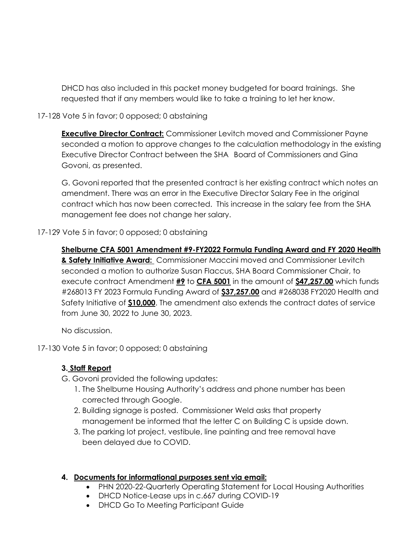DHCD has also included in this packet money budgeted for board trainings. She requested that if any members would like to take a training to let her know.

### 17-128 Vote 5 in favor; 0 opposed; 0 abstaining

**Executive Director Contract:** Commissioner Levitch moved and Commissioner Payne seconded a motion to approve changes to the calculation methodology in the existing Executive Director Contract between the SHA Board of Commissioners and Gina Govoni, as presented.

G. Govoni reported that the presented contract is her existing contract which notes an amendment. There was an error in the Executive Director Salary Fee in the original contract which has now been corrected. This increase in the salary fee from the SHA management fee does not change her salary.

### 17-129 Vote 5 in favor; 0 opposed; 0 abstaining

**Shelburne CFA 5001 Amendment #9-FY2022 Formula Funding Award and FY 2020 Health & Safety Initiative Award:** Commissioner Maccini moved and Commissioner Levitch seconded a motion to authorize Susan Flaccus, SHA Board Commissioner Chair, to execute contract Amendment **#9** to **CFA 5001** in the amount of **\$47,257.00** which funds #268013 FY 2023 Formula Funding Award of **\$37,257.00** and #268038 FY2020 Health and Safety Initiative of **\$10,000**. The amendment also extends the contract dates of service from June 30, 2022 to June 30, 2023.

No discussion.

17-130 Vote 5 in favor; 0 opposed; 0 abstaining

# **3. Staff Report**

- G. Govoni provided the following updates:
	- 1. The Shelburne Housing Authority's address and phone number has been corrected through Google.
	- 2. Building signage is posted. Commissioner Weld asks that property management be informed that the letter C on Building C is upside down.
	- 3. The parking lot project, vestibule, line painting and tree removal have been delayed due to COVID.

# **4. Documents for informational purposes sent via email:**

- PHN 2020-22-Quarterly Operating Statement for Local Housing Authorities
- DHCD Notice-Lease ups in c.667 during COVID-19
- DHCD Go To Meeting Participant Guide